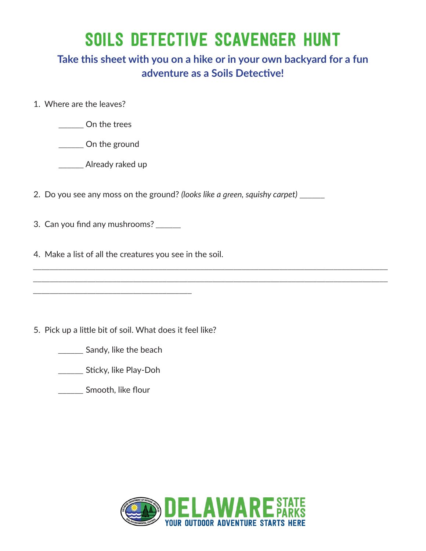## SOILS DETECTIVE SCAVENGER HUNT

## **Take this sheet with you on a hike or in your own backyard for a fun adventure as a Soils Detective!**

*\_\_\_\_\_\_\_\_\_\_\_\_\_\_\_\_\_\_\_\_\_\_\_\_\_\_\_\_\_\_\_\_\_\_\_\_\_\_\_\_\_\_\_\_\_\_\_\_\_\_\_\_\_\_\_\_\_\_\_\_\_\_\_\_\_\_\_\_\_\_\_\_\_\_\_\_\_\_\_\_\_\_\_\_\_ \_\_\_\_\_\_\_\_\_\_\_\_\_\_\_\_\_\_\_\_\_\_\_\_\_\_\_\_\_\_\_\_\_\_\_\_\_\_\_\_\_\_\_\_\_\_\_\_\_\_\_\_\_\_\_\_\_\_\_\_\_\_\_\_\_\_\_\_\_\_\_\_\_\_\_\_\_\_\_\_\_\_\_\_\_*

- 1. Where are the leaves?
	- \_\_\_\_\_\_ On the trees

\_\_\_\_\_\_ On the ground

\_\_\_\_\_\_ Already raked up

- 2. Do you see any moss on the ground? *(looks like a green, squishy carpet)* \_\_\_\_\_\_
- 3. Can you find any mushrooms? *\_\_\_\_\_\_*
- 4. Make a list of all the creatures you see in the soil.

5. Pick up a little bit of soil. What does it feel like?

*\_\_\_\_\_\_* Sandy, like the beach

*\_\_\_\_\_\_\_\_\_\_\_\_\_\_\_\_\_\_\_\_\_\_\_\_\_\_\_\_\_\_\_\_\_\_\_\_\_\_*

*\_\_\_\_\_\_* Sticky, like Play-Doh

*\_\_\_\_\_\_* Smooth, like flour